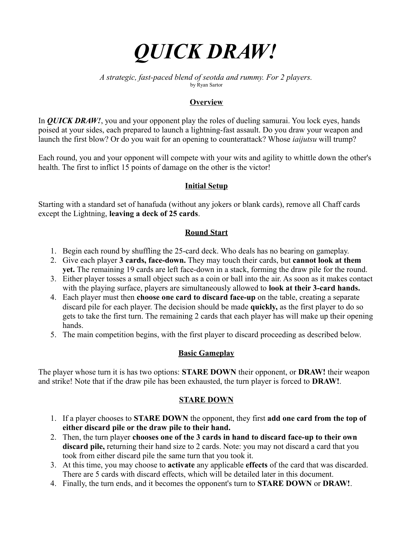

*A strategic, fast-paced blend of seotda and rummy. For 2 players.* by Ryan Sartor

## **Overview**

In *QUICK DRAW!*, you and your opponent play the roles of dueling samurai. You lock eyes, hands poised at your sides, each prepared to launch a lightning-fast assault. Do you draw your weapon and launch the first blow? Or do you wait for an opening to counterattack? Whose *iaijutsu* will trump?

Each round, you and your opponent will compete with your wits and agility to whittle down the other's health. The first to inflict 15 points of damage on the other is the victor!

### **Initial Setup**

Starting with a standard set of hanafuda (without any jokers or blank cards), remove all Chaff cards except the Lightning, **leaving a deck of 25 cards**.

## **Round Start**

- 1. Begin each round by shuffling the 25-card deck. Who deals has no bearing on gameplay.
- 2. Give each player **3 cards, face-down.** They may touch their cards, but **cannot look at them yet.** The remaining 19 cards are left face-down in a stack, forming the draw pile for the round.
- 3. Either player tosses a small object such as a coin or ball into the air. As soon as it makes contact with the playing surface, players are simultaneously allowed to **look at their 3-card hands.**
- 4. Each player must then **choose one card to discard face-up** on the table, creating a separate discard pile for each player. The decision should be made **quickly,** as the first player to do so gets to take the first turn. The remaining 2 cards that each player has will make up their opening hands.
- 5. The main competition begins, with the first player to discard proceeding as described below.

#### **Basic Gameplay**

The player whose turn it is has two options: **STARE DOWN** their opponent, or **DRAW!** their weapon and strike! Note that if the draw pile has been exhausted, the turn player is forced to **DRAW!**.

#### **STARE DOWN**

- 1. If a player chooses to **STARE DOWN** the opponent, they first **add one card from the top of either discard pile or the draw pile to their hand.**
- 2. Then, the turn player **chooses one of the 3 cards in hand to discard face-up to their own discard pile,** returning their hand size to 2 cards. Note: you may not discard a card that you took from either discard pile the same turn that you took it.
- 3. At this time, you may choose to **activate** any applicable **effects** of the card that was discarded. There are 5 cards with discard effects, which will be detailed later in this document.
- 4. Finally, the turn ends, and it becomes the opponent's turn to **STARE DOWN** or **DRAW!**.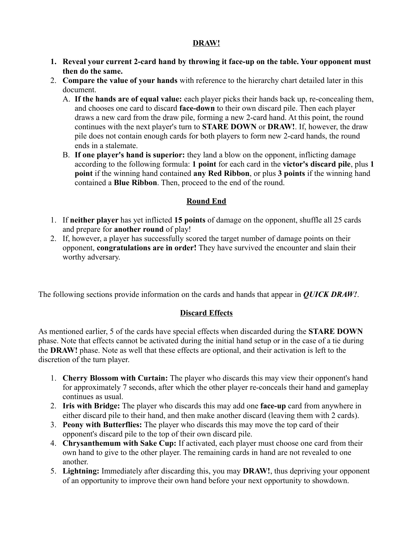## **DRAW!**

- **1. Reveal your current 2-card hand by throwing it face-up on the table. Your opponent must then do the same.**
- 2. **Compare the value of your hands** with reference to the hierarchy chart detailed later in this document.
	- A. **If the hands are of equal value:** each player picks their hands back up, re-concealing them, and chooses one card to discard **face-down** to their own discard pile. Then each player draws a new card from the draw pile, forming a new 2-card hand. At this point, the round continues with the next player's turn to **STARE DOWN** or **DRAW!**. If, however, the draw pile does not contain enough cards for both players to form new 2-card hands, the round ends in a stalemate.
	- B. **If one player's hand is superior:** they land a blow on the opponent, inflicting damage according to the following formula: **1 point** for each card in the **victor's discard pile**, plus **1 point** if the winning hand contained **any Red Ribbon**, or plus **3 points** if the winning hand contained a **Blue Ribbon**. Then, proceed to the end of the round.

# **Round End**

- 1. If **neither player** has yet inflicted **15 points** of damage on the opponent, shuffle all 25 cards and prepare for **another round** of play!
- 2. If, however, a player has successfully scored the target number of damage points on their opponent, **congratulations are in order!** They have survived the encounter and slain their worthy adversary.

The following sections provide information on the cards and hands that appear in *QUICK DRAW!*.

# **Discard Effects**

As mentioned earlier, 5 of the cards have special effects when discarded during the **STARE DOWN** phase. Note that effects cannot be activated during the initial hand setup or in the case of a tie during the **DRAW!** phase. Note as well that these effects are optional, and their activation is left to the discretion of the turn player.

- 1. **Cherry Blossom with Curtain:** The player who discards this may view their opponent's hand for approximately 7 seconds, after which the other player re-conceals their hand and gameplay continues as usual.
- 2. **Iris with Bridge:** The player who discards this may add one **face-up** card from anywhere in either discard pile to their hand, and then make another discard (leaving them with 2 cards).
- 3. **Peony with Butterflies:** The player who discards this may move the top card of their opponent's discard pile to the top of their own discard pile.
- 4. **Chrysanthemum with Sake Cup:** If activated, each player must choose one card from their own hand to give to the other player. The remaining cards in hand are not revealed to one another.
- 5. **Lightning:** Immediately after discarding this, you may **DRAW!**, thus depriving your opponent of an opportunity to improve their own hand before your next opportunity to showdown.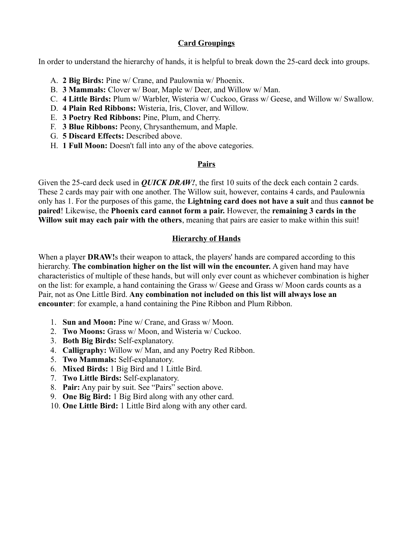# **Card Groupings**

In order to understand the hierarchy of hands, it is helpful to break down the 25-card deck into groups.

- A. **2 Big Birds:** Pine w/ Crane, and Paulownia w/ Phoenix.
- B. **3 Mammals:** Clover w/ Boar, Maple w/ Deer, and Willow w/ Man.
- C. **4 Little Birds:** Plum w/ Warbler, Wisteria w/ Cuckoo, Grass w/ Geese, and Willow w/ Swallow.
- D. **4 Plain Red Ribbons:** Wisteria, Iris, Clover, and Willow.
- E. **3 Poetry Red Ribbons:** Pine, Plum, and Cherry.
- F. **3 Blue Ribbons:** Peony, Chrysanthemum, and Maple.
- G. **5 Discard Effects:** Described above.
- H. **1 Full Moon:** Doesn't fall into any of the above categories.

### **Pairs**

Given the 25-card deck used in *QUICK DRAW!*, the first 10 suits of the deck each contain 2 cards. These 2 cards may pair with one another. The Willow suit, however, contains 4 cards, and Paulownia only has 1. For the purposes of this game, the **Lightning card does not have a suit** and thus **cannot be paired**! Likewise, the **Phoenix card cannot form a pair.** However, the **remaining 3 cards in the Willow suit may each pair with the others**, meaning that pairs are easier to make within this suit!

## **Hierarchy of Hands**

When a player **DRAW!** stheir weapon to attack, the players' hands are compared according to this hierarchy. **The combination higher on the list will win the encounter.** A given hand may have characteristics of multiple of these hands, but will only ever count as whichever combination is higher on the list: for example, a hand containing the Grass w/ Geese and Grass w/ Moon cards counts as a Pair, not as One Little Bird. **Any combination not included on this list will always lose an encounter**: for example, a hand containing the Pine Ribbon and Plum Ribbon.

- 1. **Sun and Moon:** Pine w/ Crane, and Grass w/ Moon.
- 2. **Two Moons:** Grass w/ Moon, and Wisteria w/ Cuckoo.
- 3. **Both Big Birds:** Self-explanatory.
- 4. **Calligraphy:** Willow w/ Man, and any Poetry Red Ribbon.
- 5. **Two Mammals:** Self-explanatory.
- 6. **Mixed Birds:** 1 Big Bird and 1 Little Bird.
- 7. **Two Little Birds:** Self-explanatory.
- 8. **Pair:** Any pair by suit. See "Pairs" section above.
- 9. **One Big Bird:** 1 Big Bird along with any other card.
- 10. **One Little Bird:** 1 Little Bird along with any other card.